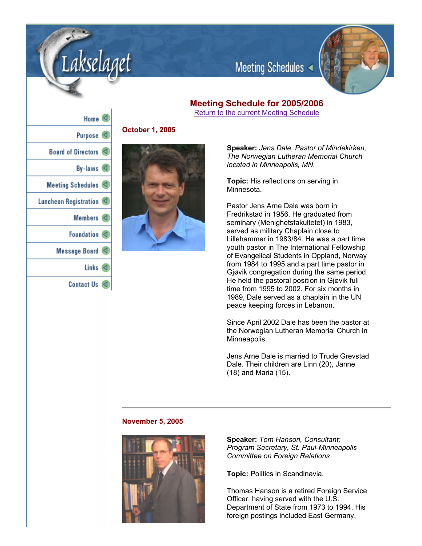

# **Meeting Schedule for 2005/2006**

Meeting Schedules

Return to the current Meeting Schedule

| Home $\triangleleft$    |   |
|-------------------------|---|
| Purpose <sup>(</sup>    |   |
| Board of Directors <    |   |
| By-laws $\triangleleft$ |   |
| Meeting Schedules <     |   |
| Luncheon Registration   |   |
| Members $\lvert \lvert$ |   |
| Foundation <            |   |
| Message Board           |   |
| Links $\triangleleft$   |   |
| <b>Contact Us</b>       | K |

.akselaget

**October 1, 2005**



**Speaker:** *Jens Dale, Pastor of Mindekirken, The Norwegian Lutheran Memorial Church located in Minneapolis, MN.*

**Topic:** His reflections on serving in Minnesota.

Pastor Jens Arne Dale was born in Fredrikstad in 1956. He graduated from seminary (Menighetsfakultetet) in 1983, served as military Chaplain close to Lillehammer in 1983/84. He was a part time youth pastor in The International Fellowship of Evangelical Students in Oppland, Norway from 1984 to 1995 and a part time pastor in Gjøvik congregation during the same period. He held the pastoral position in Gjøvik full time from 1995 to 2002. For six months in 1989, Dale served as a chaplain in the UN peace keeping forces in Lebanon.

Since April 2002 Dale has been the pastor at the Norwegian Lutheran Memorial Church in Minneapolis.

Jens Arne Dale is married to Trude Grevstad Dale. Their children are Linn (20), Janne (18) and Maria (15).

#### **November 5, 2005**



**Speaker:** *Tom Hanson, Consultant; Program Secretary, St. Paul-Minneapolis Committee on Foreign Relations*

**Topic:** Politics in Scandinavia.

Thomas Hanson is a retired Foreign Service Officer, having served with the U.S. Department of State from 1973 to 1994. His foreign postings included East Germany,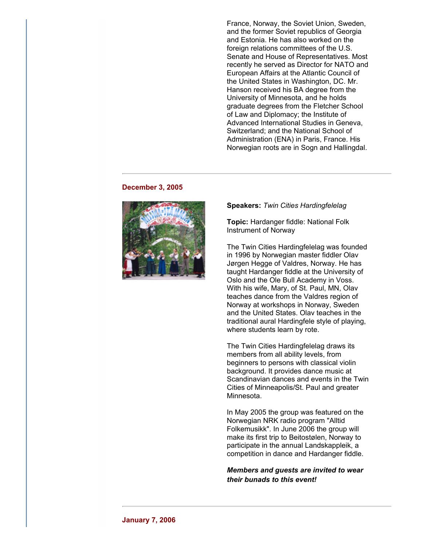France, Norway, the Soviet Union, Sweden, and the former Soviet republics of Georgia and Estonia. He has also worked on the foreign relations committees of the U.S. Senate and House of Representatives. Most recently he served as Director for NATO and European Affairs at the Atlantic Council of the United States in Washington, DC. Mr. Hanson received his BA degree from the University of Minnesota, and he holds graduate degrees from the Fletcher School of Law and Diplomacy; the Institute of Advanced International Studies in Geneva, Switzerland; and the National School of Administration (ENA) in Paris, France. His Norwegian roots are in Sogn and Hallingdal.

#### **December 3, 2005**



#### **Speakers:** *Twin Cities Hardingfelelag*

**Topic:** Hardanger fiddle: National Folk Instrument of Norway

The Twin Cities Hardingfelelag was founded in 1996 by Norwegian master fiddler Olav Jørgen Hegge of Valdres, Norway. He has taught Hardanger fiddle at the University of Oslo and the Ole Bull Academy in Voss. With his wife, Mary, of St. Paul, MN, Olav teaches dance from the Valdres region of Norway at workshops in Norway, Sweden and the United States. Olav teaches in the traditional aural Hardingfele style of playing, where students learn by rote.

The Twin Cities Hardingfelelag draws its members from all ability levels, from beginners to persons with classical violin background. It provides dance music at Scandinavian dances and events in the Twin Cities of Minneapolis/St. Paul and greater Minnesota.

In May 2005 the group was featured on the Norwegian NRK radio program "Alltid Folkemusikk". In June 2006 the group will make its first trip to Beitostølen, Norway to participate in the annual Landskappleik, a competition in dance and Hardanger fiddle.

*Members and guests are invited to wear their bunads to this event!*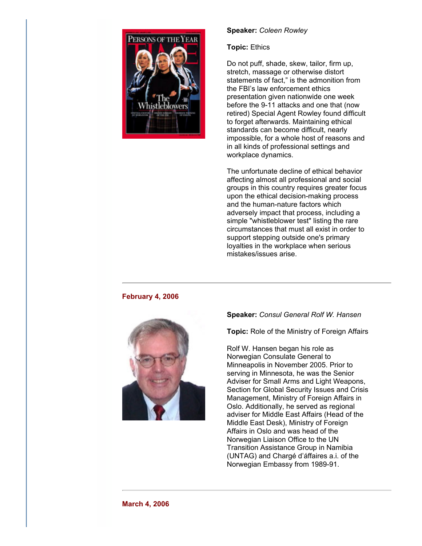

# **Speaker:** *Coleen Rowley*

## **Topic:** Ethics

Do not puff, shade, skew, tailor, firm up, stretch, massage or otherwise distort statements of fact," is the admonition from the FBI's law enforcement ethics presentation given nationwide one week before the 9-11 attacks and one that (now retired) Special Agent Rowley found difficult to forget afterwards. Maintaining ethical standards can become difficult, nearly impossible, for a whole host of reasons and in all kinds of professional settings and workplace dynamics.

The unfortunate decline of ethical behavior affecting almost all professional and social groups in this country requires greater focus upon the ethical decision-making process and the human-nature factors which adversely impact that process, including a simple "whistleblower test" listing the rare circumstances that must all exist in order to support stepping outside one's primary loyalties in the workplace when serious mistakes/issues arise.

## **February 4, 2006**



# **Speaker:** *Consul General Rolf W. Hansen*

**Topic:** Role of the Ministry of Foreign Affairs

Rolf W. Hansen began his role as Norwegian Consulate General to Minneapolis in November 2005. Prior to serving in Minnesota, he was the Senior Adviser for Small Arms and Light Weapons, Section for Global Security Issues and Crisis Management, Ministry of Foreign Affairs in Oslo. Additionally, he served as regional adviser for Middle East Affairs (Head of the Middle East Desk), Ministry of Foreign Affairs in Oslo and was head of the Norwegian Liaison Office to the UN Transition Assistance Group in Namibia (UNTAG) and Chargé d'áffaires a.i. of the Norwegian Embassy from 1989-91.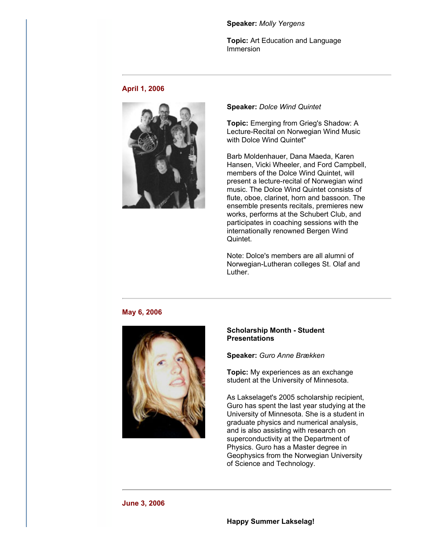#### **Speaker:** *Molly Yergens*

**Topic:** Art Education and Language Immersion

## **April 1, 2006**



#### **Speaker:** *Dolce Wind Quintet*

**Topic:** Emerging from Grieg's Shadow: A Lecture-Recital on Norwegian Wind Music with Dolce Wind Quintet"

Barb Moldenhauer, Dana Maeda, Karen Hansen, Vicki Wheeler, and Ford Campbell, members of the Dolce Wind Quintet, will present a lecture-recital of Norwegian wind music. The Dolce Wind Quintet consists of flute, oboe, clarinet, horn and bassoon. The ensemble presents recitals, premieres new works, performs at the Schubert Club, and participates in coaching sessions with the internationally renowned Bergen Wind Quintet.

Note: Dolce's members are all alumni of Norwegian-Lutheran colleges St. Olaf and Luther.

# **May 6, 2006**



## **Scholarship Month Student Presentations**

**Speaker:** *Guro Anne Brækken*

**Topic:** My experiences as an exchange student at the University of Minnesota.

As Lakselaget's 2005 scholarship recipient, Guro has spent the last year studying at the University of Minnesota. She is a student in graduate physics and numerical analysis, and is also assisting with research on superconductivity at the Department of Physics. Guro has a Master degree in Geophysics from the Norwegian University of Science and Technology.